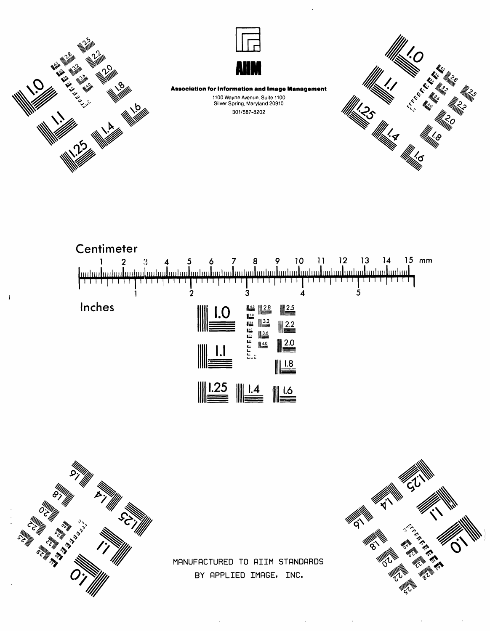

 $\mathbf{I}$ 





**Association for Information and Image Management** 1100 Wayne Avenue, Suite 1100

Silver Spring, Maryland 20910 301/587-8202







**WALL** á\

> $\mathcal{A}^{\mathcal{A}}$  $\sim$

MANUFACTURED TO AIIM STANDARDS BY APPLIED IMAGE, INC.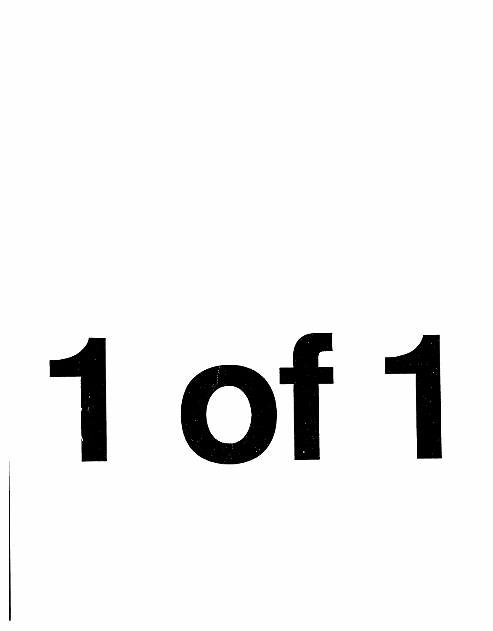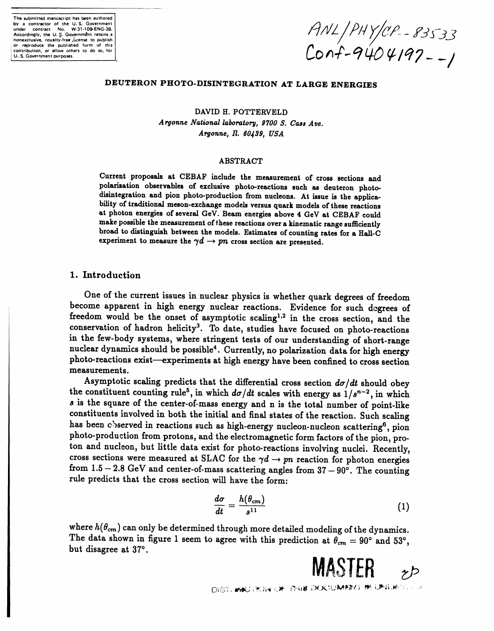The submitted manuscript has been authored by a contractor of the U.S. Government under contract No. W-31-109-ENG-38.<br>Accordingly, the U. S. Government retains a<br>nonexclusive, royalty-free fromse to publish or reproduce the published form of this contribution, or allow others to do so, for U.S. Government ourposes.

 $AML/PHY/CP - 83533$ <br>Conf-9404197--1

# DEUTERON PHOTO-DISINTEGRATION AT LARGE ENERGIES

DAVID H. POTTERVELD Argonne National laboratory, 9700 S. Cass Ave. Argonne, Il. 60439, USA

## **ABSTRACT**

Current proposals at CEBAF include the measurement of cross sections and polarization observables of exclusive photo-reactions such as deuteron photodisintegration and pion photo-production from nucleons. At issue is the applicability of traditional meson-exchange models versus quark models of these reactions at photon energies of several GeV. Beam energies above 4 GeV at CEBAF could make possible the measurement of these reactions over a kinematic range sufficiently broad to distinguish between the models. Estimates of counting rates for a Hall-C experiment to measure the  $\gamma d \to pn$  cross section are presented.

# 1. Introduction

One of the current issues in nuclear physics is whether quark degrees of freedom become apparent in high energy nuclear reactions. Evidence for such degrees of freedom would be the onset of asymptotic scaling<sup>1,2</sup> in the cross section, and the conservation of hadron helicity<sup>3</sup>. To date, studies have focused on photo-reactions in the few-body systems, where stringent tests of our understanding of short-range nuclear dynamics should be possible<sup>4</sup>. Currently, no polarization data for high energy photo-reactions exist-experiments at high energy have been confined to cross section measurements.

Asymptotic scaling predicts that the differential cross section  $d\sigma/dt$  should obey the constituent counting rule<sup>5</sup>, in which  $d\sigma/dt$  scales with energy as  $1/s^{n-2}$ , in which s is the square of the center-of-mass energy and n is the total number of point-like constituents involved in both the initial and final states of the reaction. Such scaling has been observed in reactions such as high-energy nucleon-nucleon scattering<sup>6</sup>, pion photo-production from protons, and the electromagnetic form factors of the pion, proton and nucleon, but little data exist for photo-reactions involving nuclei. Recently, cross sections were measured at SLAC for the  $\gamma d \rightarrow pn$  reaction for photon energies from  $1.5-2.8$  GeV and center-of-mass scattering angles from  $37-90^\circ$ . The counting rule predicts that the cross section will have the form:

$$
\frac{d\sigma}{dt} = \frac{h(\theta_{cm})}{s^{11}}\tag{1}
$$

where  $h(\theta_{cm})$  can only be determined through more detailed modeling of the dynamics. The data shown in figure 1 seem to agree with this prediction at  $\theta_{cm} = 90^{\circ}$  and 53°, but disagree at 37°.



DISTURNO TOTALOR TERRITOOOD MENT ME UPLANTITU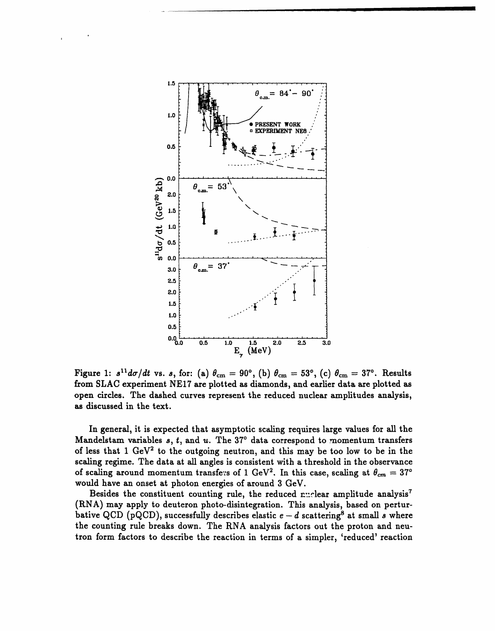

Figure 1:  $s^{11}d\sigma/dt$  vs. s, for: (a)  $\theta_{cm} = 90^{\circ}$ , (b)  $\theta_{cm} = 53^{\circ}$ , (c)  $\theta_{cm} = 37^{\circ}$ . Results from SLAC experiment NE17 are plotted as diamonds, and earlier data are plotted as open circles. The dashed curves represent the reduced nuclear amplitudes analysis, as discussed in the text.

In general, it is expected that asymptotic scaling requires large values for all the Mandelstam variables  $s, t$ , and  $u$ . The 37° data correspond to momentum transfers of less that  $1 \text{ GeV}^2$  to the outgoing neutron, and this may be too low to be in the scaling regime. The data at all angles is consistent with a threshold in the observance of scaling around momentum transfers of 1 GeV<sup>2</sup>. In this case, scaling at  $\theta_{cm} = 37^{\circ}$ would have an onset at photon energies of around 3 GeV.

Besides the constituent counting rule, the reduced ruclear amplitude analysis<sup>7</sup> (RNA) may apply to deuteron photo-disintegration. This analysis, based on perturbative QCD (pQCD), successfully describes elastic  $e-d$  scattering<sup>8</sup> at small s where the counting rule breaks down. The RNA analysis factors out the proton and neutron form factors to describe the reaction in terms of a simpler, 'reduced' reaction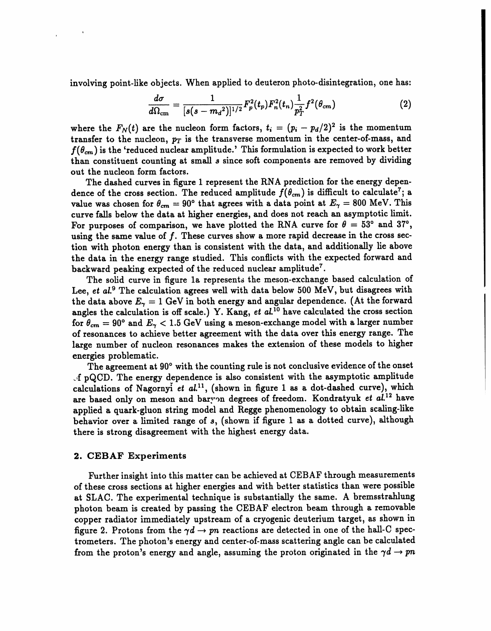involving point-like objects. When applied to deuteron photo-disintegration, one has:

$$
\frac{d\sigma}{d\Omega_{\rm cm}} = \frac{1}{[s(s-m_a^2)]^{1/2}} F_p^2(t_p) F_n^2(t_n) \frac{1}{p_T^2} f^2(\theta_{\rm cm})
$$
(2)

where the  $F_N(t)$  are the nucleon form factors,  $t_i = (p_i - p_d/2)^2$  is the momentum **transfer to the nucleon,**  $p_T$  **is the transverse momentum in the center-of-mass, and**  $f(\theta_{cm})$  is the 'reduced nuclear amplitude.' This formulation is expected to work better th**an** co**ns**titue**n**t cou**n**ti**n**g **a**t **s**m**a**ll s **s**i**n**ce **s**of**t** compo**nents** are remov**e**d by dividi**n**g out th**e n**ucleo**n** form f**a**ctor**s**.

The d**as**hed curve**s** i**n** figure 1 repre**s**e**n**t **t**he RNA predictio**n** for th**e** e**n**ergy dep**en**dence of the cross section. The reduced amplitude  $f(\theta_{cm})$  is difficult to calculate<sup>7</sup>; a value was chosen for  $\theta_{cm} = 90^{\circ}$  that agrees with a data point at  $E_{\gamma} = 800$  MeV. This curv**e** f**a**lls below the d**a**t**a a**t higher **ene**r**g**i**e**s, and do**es n**ot re**a**ch an **as**ymp**t**o**t**ic limit. For purposes of comparison, we have plotted the RNA curve for  $\theta = 53^{\circ}$  and 37°, u**s**i**n**g the same value of *f*. The**s**e curve**s s**how **a** mor**e** r**ap**id decre**ase** i**n t**h**e** cro**ss s**ectio**n** with photo**n en**ergy th**an** is co**ns**i**s**t**en**t with **t**he d**a**ta, **an**d **a**dditio**n**ally li**e a**bov**e** the d**a**t**a** i**n** the energy range studied. This co**n**flicts with the expected forw**ar**d and b**a**ckw**a**rd **p**e**a**ki**n**g expected of the reduced **n**uclear **a**m**p**l**i**tud**e** 7.

The **s**olid curv**e** i**n** figure l**a** represe**n**t**s** the meson-exch**a**nge bas**e**d c**a**lcul**a**tio**n** of L**e**e, *e*t *a/*.9 The calcul**a**tio**n a**gree**s** well with d**a**t**a** b**e**low 500 M**e**V, but dis**a**g**r**ee**s** with the data above  $E_\gamma = 1$  GeV in both energy and angular dependence. (At the forward an**g**les the calcul**a**tio**n** is off sc**a**le.) Y. K**an**g, e*t al*.1° h**a**ve c**a**lcul**a**ted th**e** c**r**oss **s**ectio**n** for  $\theta_{cm} = 90^\circ$  and  $E_\gamma < 1.5$  GeV using a meson-exchange model with a larger number of re**s**o**nan**c**es** to **a**chiev**e** b**e**tt**e**r agreeme**n**t with **t**he d**a**t**a** over this e**n**ergy r**an**ge. The larg**e n**umber of **n**ucleo**n** r**es**on**an**ce**s** m**a**kes **t**h**e** ext**ens**ion of th**ese** models to higher **ene**r**g**ie**s** p**r**oblem**a**tic.

The **a**gr**ee**m**en**t **a**t **9**0**°** with **t**he cou**n**ti**n**g rul**e** is **n**ot co**n**clu**s**ive evide**n**c**e** of the o**ns**et \_f pQCD. The e**n**ergy depe**n**de**n**ce is al**s**o co**ns**i**s**te**n**t with the **as**ymp**t**otic **a**mpli**t**ude **ca**l**c**ul**ations of** N**agorn**y\_ e*ta/***. 1**1, **(sh**o**wn** i**n** figu**re 1** as **a** do**t-**d**ashe**d **curve)**, **w**hi**ch** are b**ase**d **o**nly o**n** m**es**o**n** a**n**d bary*.***m** de**gre**e**s o**f fr**ee**dom. Ko**n**d**ra**tyuk **e***t al*.1\_ h**a**ve **ap**plied **a** quark-**g**luo**n s**tri**ng** model and R**egg**e phe**n**ome**n**olo**g**y to obt**a**i**n s**c**a**li**ng**-like b**e**h**a**vio**r** ov**er a** limit**e**d **r**an**g**e of s, (**s**how**n** if fi**g**u**re** 1 **as a** dotted cu**r**v**e**), altho**ugh** th**e**r**e** i**s s**t**r**o**ng** di**sag**reeme**n**t with th**e** high**es**t e**nerg**y d**a**t**a**.

### 2**. CEBAF E**x**p**e**r**i**m**e**n**t**s**

i

t

**F**u**r**ther i**ns**ight into thi**s** m**a**tt**e**r c**an** b**e a**chi**e**v**e**d **a**t CEBAF through m**eas**u**re**me**n**t**s** of the**s**e cro**ss** sectio**ns a**t higher e**ne**rgi**e**s **an**d with better **s**t**a**ti**s**tic**s** than wer**e** po**ss**ible **a**t SLAC. Th**e e**x**pe**rime**n**t**a**l t**e**ch**n**ique i**s s**ub**s**t**an**ti**a**lly t**he s**am**e**. A br**e**m**ss**tr**a**hlu**ng** photo**n** be**a**m i**s** c**r**e**a**ted by p**a**ssin**g** the CEB**A**F **e**l**e**ctro**n** be**a**m t**h**rough **a r**emov**a**ble copp**er** r**a**di**a**tor imm**e**di**a**t**e**ly up**s**t**re**am of **a** cryog**e**nic d**e**ut**e**rium t**a**r**ge**t**, as s**how**n** i**n** figure 2. Protons from the  $\gamma d \rightarrow pn$  reactions are detected in one of the hall-C spectrom**e**t**e**r**s**. Th**e** photo**n**'**s energ**y a**n**d c**en**t**e**r-of-mas**s** sc**a**tt**e**ri**n**g **an**gl**e** ca**n** be calcul**a**t**e**d from the proton's energy and angle, assuming the proton originated in the  $\gamma d \rightarrow pn$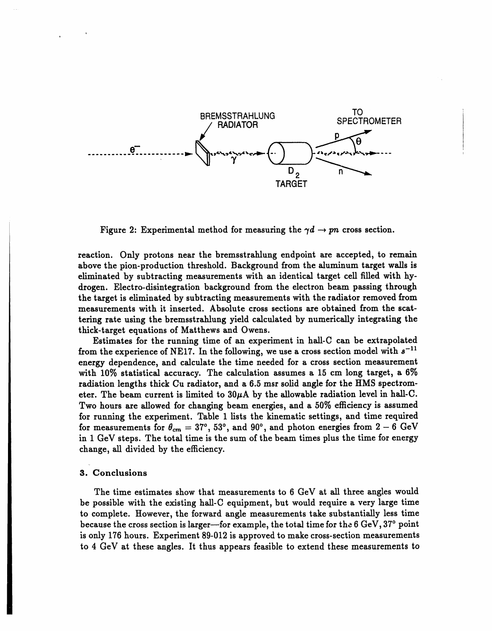

**Figure** 2: **Experimental** method for measuring the  $\gamma d \rightarrow pn$  cross section.

**reaction.** O**nly protons near t**h**e bremsst**r**a**h**lung endpo**i**nt are accepted, to r**e**ma**i**n above the pion-p**r**oduction t**h**reshold. Background f**r**o**m **the** al**um**i**nu**m **ta**r**get wa**l**ls is el**i**m**i**nated** b**y subtracting** m**easure**m**ents w**i**th an identic**al **target cell** fi**lle**d wi**th hydrogen.** E**lect**r**o-**d**isinteg**ra**tion background** fr**om t**h**e electron beam passing through the t**ar**get is el**imi**nated by subtracting measurements w**i**th the** r**a**di**ator removed** fr**o**m **measurements** wi**th it inserted. Absolute cross sections a**r**e obt**ai**ned** fr**o**m **t**h**e scattering rate using t**h**e b**r**e**m**sstra**k**lung y**i**eld c**al**culated by nu**m**erically integrating the t**hi**ck-target equations of Matt**h**ews and** O**wens.**

**Estimates for the runn**i**ng time of an experi**m**ent** i**n ha**U**-C can be extrapolated** from the experience of NE17. In the following, we use a cross section model with  $s^{-11}$ **energy dependence, and c**al**c**ul**ate the time needed for a cross section measurement** wi**th 10***%* **statist**i**c**al **accuracy. The c**al**c**ul**at**i**on assumes a 15 c**m **long ta**r**get, a 6**% **ra**di**ation lengths t**hi**ck Cu rad**i**ator, and a** 6**.5** m**sr sol**i**d** ang**le for the HMS spectrometer. The beam current is** limi**ted to 30**g**A** b**y the allowable ra**di**ation level in hall-C. Two** h**o**ur**s** are **allowed** f**o**r **c**hanging b**eam** e**ner**gie**s, an**d **a 50**% effi**ciency i**s **as**s**ume**d for running the experiment. Table 1 lists the kinematic settings, and time required for measurements for  $\theta_{cm} = 37^\circ$ ,  $53^\circ$ , and  $90^\circ$ , and photon energies from  $2-6$  GeV in 1 GeV steps. The total time is the sum of the beam times plus the time for energy **chan**g**e, all** di**v**i**ded** b**y t**h**e e**ffi**c**i**ency.**

### 8**. Conc**l**us**i**ons**

i

t

i

**The t**i**me est**i**mates show that measu**r**ements to** 6 **Ge**V **at all th**r**ee an**g**les wo**ul**d** be possible with the existing hall-C equipment, but would require a very large time to complete. However, the forward angle measurements take substantially less time because the cross section is larger—for example, the total time for the  $6 \text{ GeV}, 37^{\circ}$  point is only 176 hours. Experiment 89-012 is approved to make cross-section measurements to 4 GeV at these angles. It thus appears feasible to extend these measurements to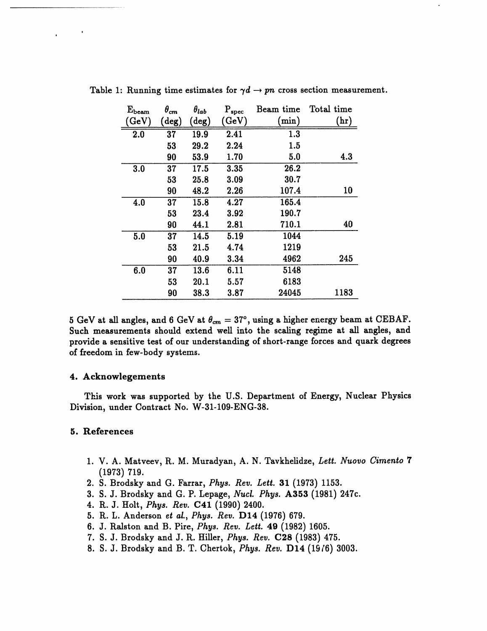| $E_{\rm beam}$ | $\theta_{cm}$ | $\theta_{lab}$ | $P_{spec}$ | Beam time | Total time      |
|----------------|---------------|----------------|------------|-----------|-----------------|
| GeV)           | $(\deg)$      | $(\deg)$       | (GeV)      | $(\min)$  | $(\mathrm{hr})$ |
| 2.0            | 37            | 19.9           | 2.41       | 1.3       |                 |
|                | 53            | 29.2           | 2.24       | 1.5       |                 |
|                | 90            | 53.9           | 1.70       | 5.0       | 4.3             |
| 3.0            | 37            | 17.5           | 3.35       | 26.2      |                 |
|                | 53            | 25.8           | 3.09       | 30.7      |                 |
|                | 90            | 48.2           | 2.26       | 107.4     | 10              |
| 4.0            | 37            | 15.8           | 4.27       | 165.4     |                 |
|                | 53            | 23.4           | 3.92       | 190.7     |                 |
|                | 90            | 44.1           | 2.81       | 710.1     | 40              |
| 5.0            | 37            | 14.5           | 5.19       | 1044      |                 |
|                | 53            | 21.5           | 4.74       | 1219      |                 |
|                | 90            | 40.9           | 3.34       | 4962      | 245             |
| 6.0            | 37            | 13.6           | 6.11       | 5148      |                 |
|                | 53            | 20.1           | 5.57       | 6183      |                 |
|                | 90            | 38.3           | 3.87       | 24045     | 1183            |

Table 1: Running time estimates for  $\gamma d \to pn$  cross section measurement.

5 GeV at all angles, and 6 GeV at  $\theta_{cm} = 37^{\circ}$ , using a higher energy beam at CEBAF. Such measurements should extend well into the scaling regime at all angles, and provide a sensitive test of our understanding of short-range forces and quark degrees of freedom in few-body systems.

### 4. Acknowlegements

This work was supported by the U.S. Department of Energy, Nuclear Physics Division, under Contract No. W-31-109-ENG-38.

## 5. References

- 1. V. A. Matveev, R. M. Muradyan, A. N. Tavkhelidze, Lett. Nuovo Cimento 7  $(1973)$  719.
- 2. S. Brodsky and G. Farrar, *Phys. Rev. Lett.* 31 (1973) 1153.
- 3. S. J. Brodsky and G. P. Lepage, Nucl. Phys. A353 (1981) 247c.
- 4. R. J. Holt, *Phys. Rev.* C41 (1990) 2400.
- 5. R. L. Anderson et al., Phys. Rev. D14 (1976) 679.
- 6. J. Ralston and B. Pire, *Phys. Rev. Lett.* 49 (1982) 1605.
- 7. S. J. Brodsky and J. R. Hiller, Phys. Rev. C28 (1983) 475.
- 8. S. J. Brodsky and B. T. Chertok, Phys. Rev. D14 (1976) 3003.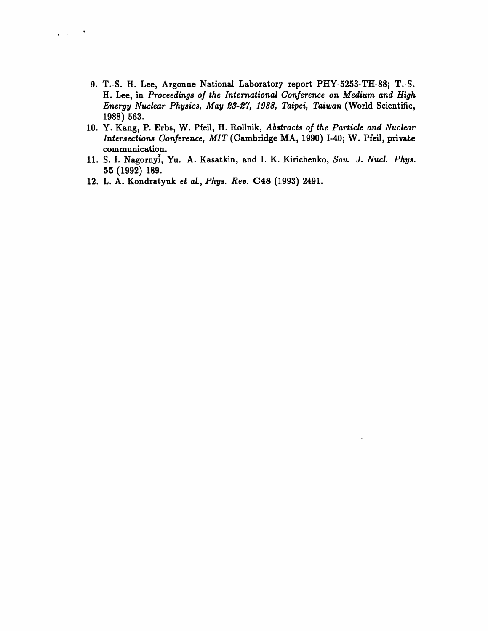- 9. T.-S. H. Lee, Argonne National Laboratory report PHY-5253-TH-88; T.-S. H. Lee, in Proceedings of the International Conference on Medium and High Energy Nuclear Physics, May 23-27, 1988, Taipei, Taiwan (World Scientific, 1988) 563.
- 10. Y. Kang, P. Erbs, W. Pfeil, H. Rollnik, Abstracts of the Particle and Nuclear Intersections Conference, MIT (Cambridge MA, 1990) I-40; W. Pfeil, private communication.
- 11. S. I. Nagornyi, Yu. A. Kasatkin, and I. K. Kirichenko, Sov. J. Nucl. Phys. 55 (1992) 189.
- 12. L. A. Kondratyuk et al., Phys. Rev. C48 (1993) 2491.

 $\sqrt{1+\sqrt{1+\lambda^2}}$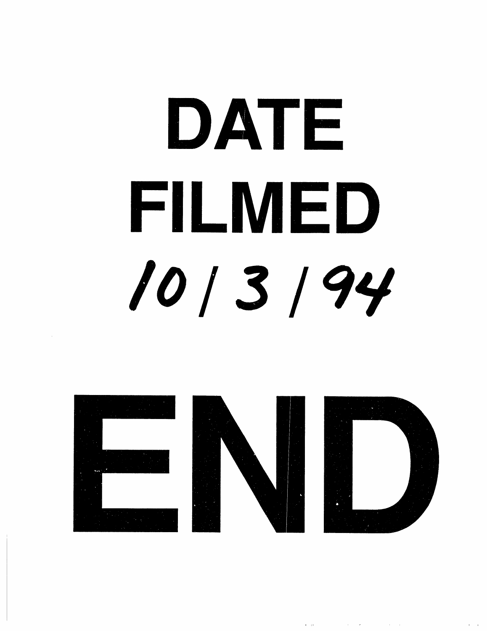# DATE FILMED 1013194